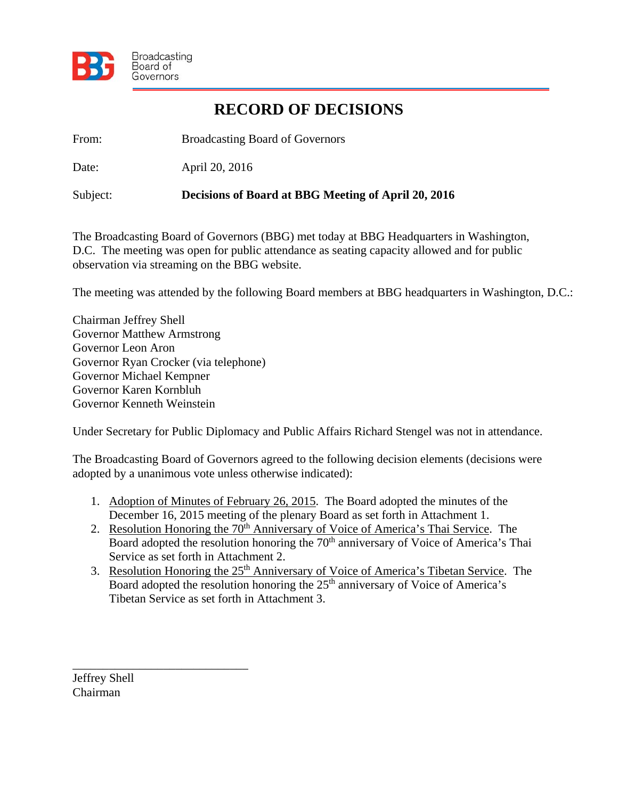

## **RECORD OF DECISIONS**

From: Broadcasting Board of Governors

Date: April 20, 2016

Subject: **Decisions of Board at BBG Meeting of April 20, 2016** 

The Broadcasting Board of Governors (BBG) met today at BBG Headquarters in Washington, D.C. The meeting was open for public attendance as seating capacity allowed and for public observation via streaming on the BBG website.

The meeting was attended by the following Board members at BBG headquarters in Washington, D.C.:

Chairman Jeffrey Shell Governor Matthew Armstrong Governor Leon Aron Governor Ryan Crocker (via telephone) Governor Michael Kempner Governor Karen Kornbluh Governor Kenneth Weinstein

Under Secretary for Public Diplomacy and Public Affairs Richard Stengel was not in attendance.

The Broadcasting Board of Governors agreed to the following decision elements (decisions were adopted by a unanimous vote unless otherwise indicated):

- 1. Adoption of Minutes of February 26, 2015. The Board adopted the minutes of the December 16, 2015 meeting of the plenary Board as set forth in Attachment 1.
- 2. Resolution Honoring the 70<sup>th</sup> Anniversary of Voice of America's Thai Service. The Board adopted the resolution honoring the 70<sup>th</sup> anniversary of Voice of America's Thai Service as set forth in Attachment 2.
- 3. Resolution Honoring the 25<sup>th</sup> Anniversary of Voice of America's Tibetan Service. The Board adopted the resolution honoring the 25<sup>th</sup> anniversary of Voice of America's Tibetan Service as set forth in Attachment 3.

Jeffrey Shell Chairman

\_\_\_\_\_\_\_\_\_\_\_\_\_\_\_\_\_\_\_\_\_\_\_\_\_\_\_\_\_